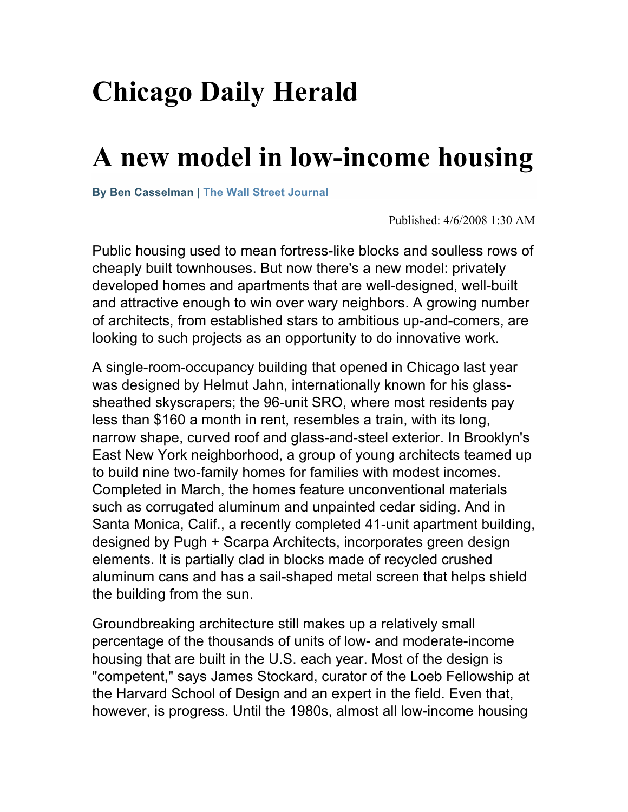## **Chicago Daily Herald**

## **A new model in low-income housing**

**By Ben Casselman | The Wall Street Journal**

Published: 4/6/2008 1:30 AM

Public housing used to mean fortress-like blocks and soulless rows of cheaply built townhouses. But now there's a new model: privately developed homes and apartments that are well-designed, well-built and attractive enough to win over wary neighbors. A growing number of architects, from established stars to ambitious up-and-comers, are looking to such projects as an opportunity to do innovative work.

A single-room-occupancy building that opened in Chicago last year was designed by Helmut Jahn, internationally known for his glasssheathed skyscrapers; the 96-unit SRO, where most residents pay less than \$160 a month in rent, resembles a train, with its long, narrow shape, curved roof and glass-and-steel exterior. In Brooklyn's East New York neighborhood, a group of young architects teamed up to build nine two-family homes for families with modest incomes. Completed in March, the homes feature unconventional materials such as corrugated aluminum and unpainted cedar siding. And in Santa Monica, Calif., a recently completed 41-unit apartment building, designed by Pugh + Scarpa Architects, incorporates green design elements. It is partially clad in blocks made of recycled crushed aluminum cans and has a sail-shaped metal screen that helps shield the building from the sun.

Groundbreaking architecture still makes up a relatively small percentage of the thousands of units of low- and moderate-income housing that are built in the U.S. each year. Most of the design is "competent," says James Stockard, curator of the Loeb Fellowship at the Harvard School of Design and an expert in the field. Even that, however, is progress. Until the 1980s, almost all low-income housing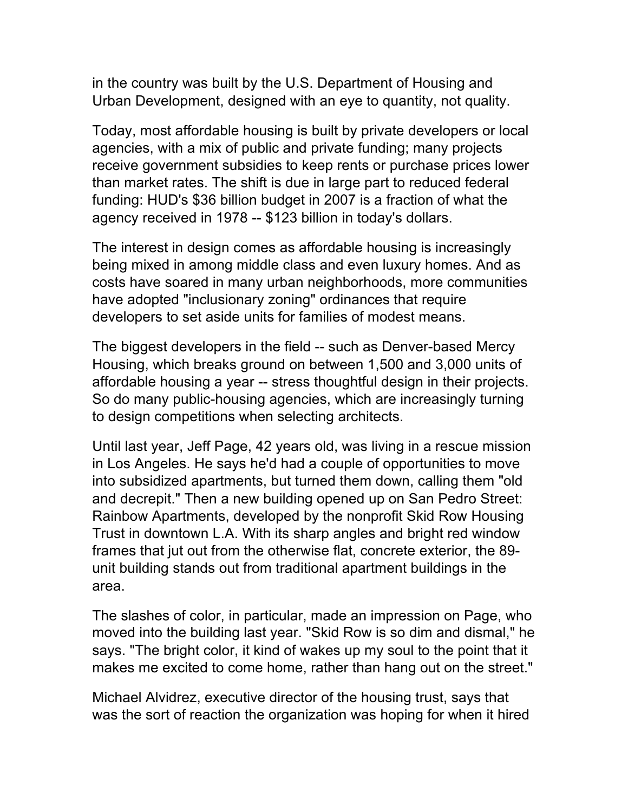in the country was built by the U.S. Department of Housing and Urban Development, designed with an eye to quantity, not quality.

Today, most affordable housing is built by private developers or local agencies, with a mix of public and private funding; many projects receive government subsidies to keep rents or purchase prices lower than market rates. The shift is due in large part to reduced federal funding: HUD's \$36 billion budget in 2007 is a fraction of what the agency received in 1978 -- \$123 billion in today's dollars.

The interest in design comes as affordable housing is increasingly being mixed in among middle class and even luxury homes. And as costs have soared in many urban neighborhoods, more communities have adopted "inclusionary zoning" ordinances that require developers to set aside units for families of modest means.

The biggest developers in the field -- such as Denver-based Mercy Housing, which breaks ground on between 1,500 and 3,000 units of affordable housing a year -- stress thoughtful design in their projects. So do many public-housing agencies, which are increasingly turning to design competitions when selecting architects.

Until last year, Jeff Page, 42 years old, was living in a rescue mission in Los Angeles. He says he'd had a couple of opportunities to move into subsidized apartments, but turned them down, calling them "old and decrepit." Then a new building opened up on San Pedro Street: Rainbow Apartments, developed by the nonprofit Skid Row Housing Trust in downtown L.A. With its sharp angles and bright red window frames that jut out from the otherwise flat, concrete exterior, the 89 unit building stands out from traditional apartment buildings in the area.

The slashes of color, in particular, made an impression on Page, who moved into the building last year. "Skid Row is so dim and dismal," he says. "The bright color, it kind of wakes up my soul to the point that it makes me excited to come home, rather than hang out on the street."

Michael Alvidrez, executive director of the housing trust, says that was the sort of reaction the organization was hoping for when it hired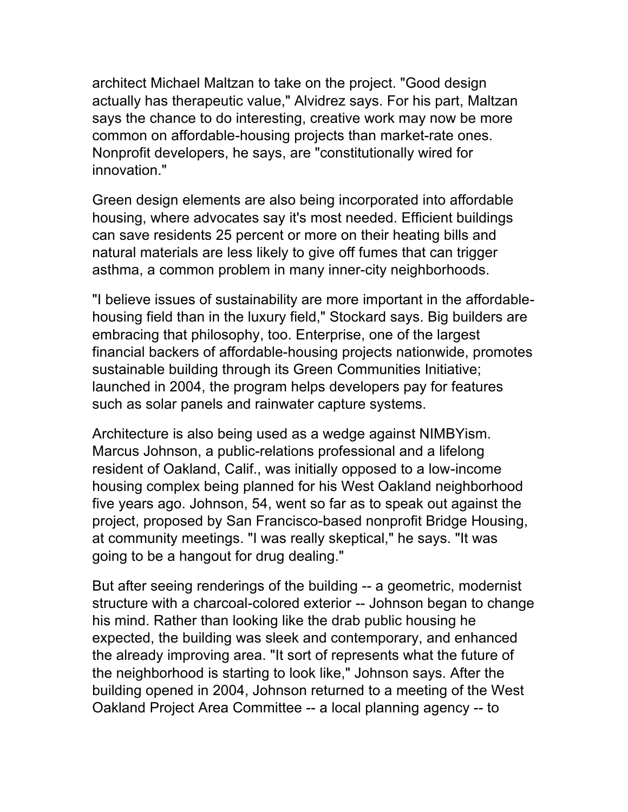architect Michael Maltzan to take on the project. "Good design actually has therapeutic value," Alvidrez says. For his part, Maltzan says the chance to do interesting, creative work may now be more common on affordable-housing projects than market-rate ones. Nonprofit developers, he says, are "constitutionally wired for innovation."

Green design elements are also being incorporated into affordable housing, where advocates say it's most needed. Efficient buildings can save residents 25 percent or more on their heating bills and natural materials are less likely to give off fumes that can trigger asthma, a common problem in many inner-city neighborhoods.

"I believe issues of sustainability are more important in the affordablehousing field than in the luxury field," Stockard says. Big builders are embracing that philosophy, too. Enterprise, one of the largest financial backers of affordable-housing projects nationwide, promotes sustainable building through its Green Communities Initiative; launched in 2004, the program helps developers pay for features such as solar panels and rainwater capture systems.

Architecture is also being used as a wedge against NIMBYism. Marcus Johnson, a public-relations professional and a lifelong resident of Oakland, Calif., was initially opposed to a low-income housing complex being planned for his West Oakland neighborhood five years ago. Johnson, 54, went so far as to speak out against the project, proposed by San Francisco-based nonprofit Bridge Housing, at community meetings. "I was really skeptical," he says. "It was going to be a hangout for drug dealing."

But after seeing renderings of the building -- a geometric, modernist structure with a charcoal-colored exterior -- Johnson began to change his mind. Rather than looking like the drab public housing he expected, the building was sleek and contemporary, and enhanced the already improving area. "It sort of represents what the future of the neighborhood is starting to look like," Johnson says. After the building opened in 2004, Johnson returned to a meeting of the West Oakland Project Area Committee -- a local planning agency -- to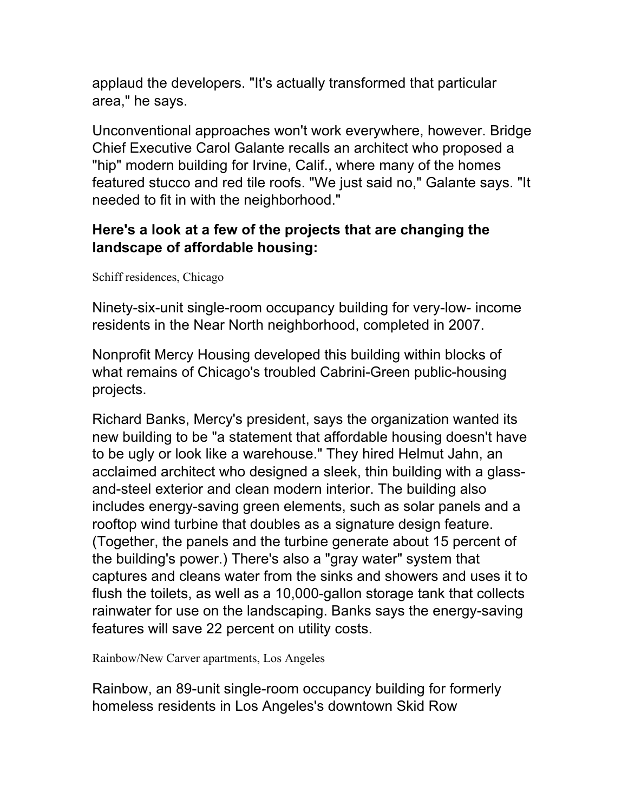applaud the developers. "It's actually transformed that particular area," he says.

Unconventional approaches won't work everywhere, however. Bridge Chief Executive Carol Galante recalls an architect who proposed a "hip" modern building for Irvine, Calif., where many of the homes featured stucco and red tile roofs. "We just said no," Galante says. "It needed to fit in with the neighborhood."

## **Here's a look at a few of the projects that are changing the landscape of affordable housing:**

Schiff residences, Chicago

Ninety-six-unit single-room occupancy building for very-low- income residents in the Near North neighborhood, completed in 2007.

Nonprofit Mercy Housing developed this building within blocks of what remains of Chicago's troubled Cabrini-Green public-housing projects.

Richard Banks, Mercy's president, says the organization wanted its new building to be "a statement that affordable housing doesn't have to be ugly or look like a warehouse." They hired Helmut Jahn, an acclaimed architect who designed a sleek, thin building with a glassand-steel exterior and clean modern interior. The building also includes energy-saving green elements, such as solar panels and a rooftop wind turbine that doubles as a signature design feature. (Together, the panels and the turbine generate about 15 percent of the building's power.) There's also a "gray water" system that captures and cleans water from the sinks and showers and uses it to flush the toilets, as well as a 10,000-gallon storage tank that collects rainwater for use on the landscaping. Banks says the energy-saving features will save 22 percent on utility costs.

Rainbow/New Carver apartments, Los Angeles

Rainbow, an 89-unit single-room occupancy building for formerly homeless residents in Los Angeles's downtown Skid Row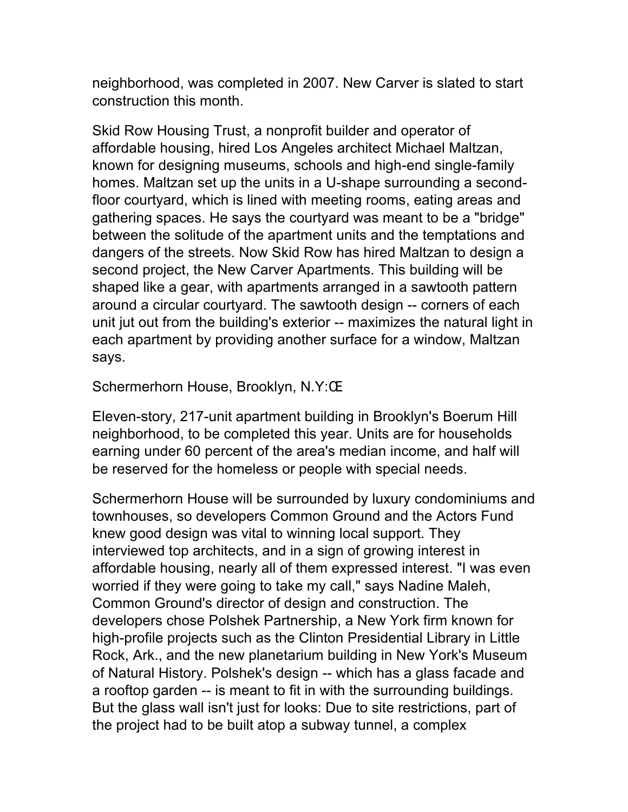neighborhood, was completed in 2007. New Carver is slated to start construction this month.

Skid Row Housing Trust, a nonprofit builder and operator of affordable housing, hired Los Angeles architect Michael Maltzan, known for designing museums, schools and high-end single-family homes. Maltzan set up the units in a U-shape surrounding a secondfloor courtyard, which is lined with meeting rooms, eating areas and gathering spaces. He says the courtyard was meant to be a "bridge" between the solitude of the apartment units and the temptations and dangers of the streets. Now Skid Row has hired Maltzan to design a second project, the New Carver Apartments. This building will be shaped like a gear, with apartments arranged in a sawtooth pattern around a circular courtyard. The sawtooth design -- corners of each unit jut out from the building's exterior -- maximizes the natural light in each apartment by providing another surface for a window, Maltzan says.

Schermerhorn House, Brooklyn, N.Y:Œ

Eleven-story, 217-unit apartment building in Brooklyn's Boerum Hill neighborhood, to be completed this year. Units are for households earning under 60 percent of the area's median income, and half will be reserved for the homeless or people with special needs.

Schermerhorn House will be surrounded by luxury condominiums and townhouses, so developers Common Ground and the Actors Fund knew good design was vital to winning local support. They interviewed top architects, and in a sign of growing interest in affordable housing, nearly all of them expressed interest. "I was even worried if they were going to take my call," says Nadine Maleh, Common Ground's director of design and construction. The developers chose Polshek Partnership, a New York firm known for high-profile projects such as the Clinton Presidential Library in Little Rock, Ark., and the new planetarium building in New York's Museum of Natural History. Polshek's design -- which has a glass facade and a rooftop garden -- is meant to fit in with the surrounding buildings. But the glass wall isn't just for looks: Due to site restrictions, part of the project had to be built atop a subway tunnel, a complex